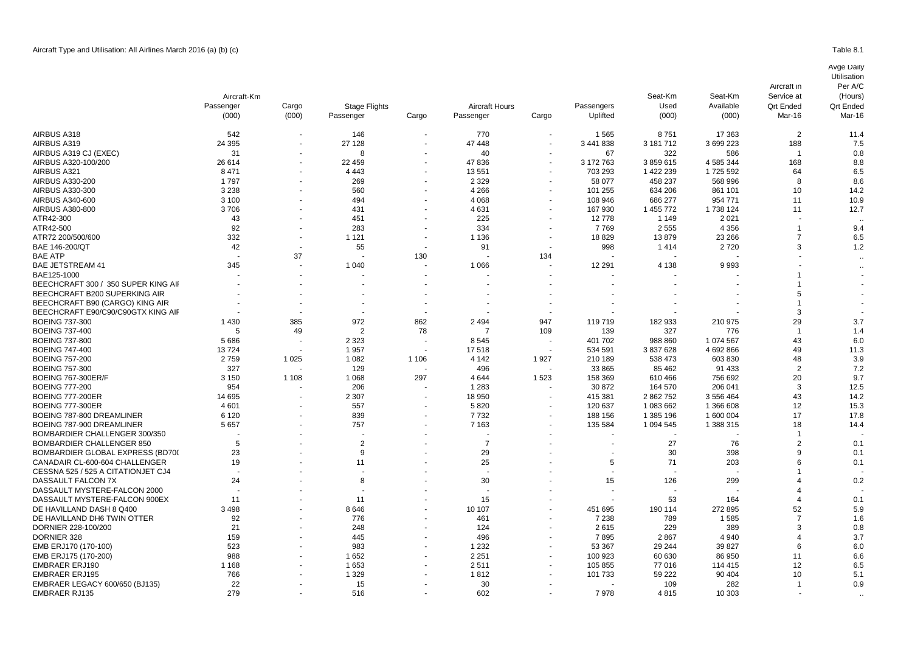|                                     | Aircraft-Km |         |                |                          |                |                      |            | Seat-Km       | Seat-Km            | Service at                 | (Hours)                    |
|-------------------------------------|-------------|---------|----------------|--------------------------|----------------|----------------------|------------|---------------|--------------------|----------------------------|----------------------------|
|                                     | Passenger   | Cargo   | Stage Flights  |                          | Aircraft Hours |                      | Passengers | Used<br>(000) | Available<br>(000) | <b>Qrt Ended</b><br>Mar-16 | <b>Qrt Ended</b><br>Mar-16 |
|                                     | (000)       | (000)   | Passenger      | Cargo                    | Passenger      | Cargo                | Uplifted   |               |                    |                            |                            |
| AIRBUS A318                         | 542         |         | 146            | $\sim$                   | 770            |                      | 1565       | 8751          | 17 363             | $\overline{2}$             | 11.4                       |
| AIRBUS A319                         | 24 3 95     |         | 27 128         |                          | 47 448         | $\ddot{\phantom{1}}$ | 3 441 838  | 3 181 712     | 3 699 223          | 188                        | 7.5                        |
| AIRBUS A319 CJ (EXEC)               | 31          |         | 8              |                          | 40             |                      | 67         | 322           | 586                | -1                         | 0.8                        |
| AIRBUS A320-100/200                 | 26 614      |         | 22 459         |                          | 47836          |                      | 3 172 763  | 3859615       | 4 585 344          | 168                        | 8.8                        |
| AIRBUS A321                         | 8471        |         | 4 4 4 3        |                          | 13551          |                      | 703 293    | 1 422 239     | 1725 592           | 64                         | 6.5                        |
| AIRBUS A330-200                     | 1797        |         | 269            |                          | 2 3 2 9        |                      | 58 077     | 458 237       | 568 996            | 8                          | 8.6                        |
| AIRBUS A330-300                     | 3 2 3 8     |         | 560            |                          | 4 2 6 6        |                      | 101 255    | 634 206       | 861 101            | 10                         | 14.2                       |
| AIRBUS A340-600                     | 3 100       |         | 494            |                          | 4 0 68         |                      | 108 946    | 686 277       | 954 771            | 11                         | 10.9                       |
| AIRBUS A380-800                     | 3706        |         | 431            |                          | 4631           |                      | 167 930    | 1 455 772     | 1738 124           | 11                         | 12.7                       |
| ATR42-300                           | 43          |         | 451            |                          | 225            |                      | 12778      | 1 1 4 9       | 2 0 2 1            |                            |                            |
| ATR42-500                           | 92          |         | 283            |                          | 334            |                      | 7769       | 2555          | 4 3 5 6            | -1                         | 9.4                        |
| ATR72 200/500/600                   | 332         |         | 1 1 2 1        |                          | 1 1 3 6        |                      | 18829      | 13879         | 23 266             | $\overline{7}$             | 6.5                        |
| BAE 146-200/QT                      | 42          |         | 55             | $\overline{\phantom{a}}$ | 91             |                      | 998        | 1414          | 2720               | 3                          | 1.2                        |
| <b>BAE ATP</b>                      |             | 37      |                | 130                      |                | 134                  |            |               |                    |                            |                            |
| <b>BAE JETSTREAM 41</b>             | 345         |         | 1 0 4 0        |                          | 1 0 6 6        |                      | 12 291     | 4 1 3 8       | 9993               |                            |                            |
| BAE125-1000                         |             |         |                |                          |                |                      |            |               |                    |                            |                            |
| BEECHCRAFT 300 / 350 SUPER KING AII |             |         |                |                          |                |                      |            |               |                    |                            |                            |
| BEECHCRAFT B200 SUPERKING AIR       |             |         |                |                          |                |                      |            |               |                    | 5                          |                            |
| BEECHCRAFT B90 (CARGO) KING AIR     |             |         |                |                          |                |                      |            |               |                    |                            |                            |
| BEECHCRAFT E90/C90/C90GTX KING AIF  |             |         |                |                          |                |                      |            |               |                    | 3                          |                            |
| <b>BOEING 737-300</b>               | 1 4 3 0     | 385     | 972            | 862                      | 2 4 9 4        | 947                  | 119719     | 182 933       | 210 975            | 29                         | 3.7                        |
| <b>BOEING 737-400</b>               | 5           | 49      | $\overline{2}$ | 78                       |                | 109                  | 139        | 327           | 776                | $\overline{1}$             | 1.4                        |
| <b>BOEING 737-800</b>               | 5686        |         | 2 3 2 3        |                          | 8545           |                      | 401 702    | 988 860       | 1 074 567          | 43                         | 6.0                        |
| <b>BOEING 747-400</b>               | 13724       |         | 1957           |                          | 17518          |                      | 534 591    | 3 837 628     | 4 692 866          | 49                         | 11.3                       |
| <b>BOEING 757-200</b>               | 2759        | 1 0 2 5 | 1 0 8 2        | 1 1 0 6                  | 4 1 4 2        | 1927                 | 210 189    | 538 473       | 603 830            | 48                         | 3.9                        |
| <b>BOEING 757-300</b>               | 327         |         | 129            |                          | 496            |                      | 33 865     | 85 462        | 91 433             | $\overline{2}$             | 7.2                        |
| BOEING 767-300ER/F                  | 3 1 5 0     | 1 1 0 8 | 1 0 6 8        | 297                      | 4644           | 1523                 | 158 369    | 610 466       | 756 692            | 20                         | 9.7                        |
| <b>BOEING 777-200</b>               | 954         |         | 206            |                          | 1 2 8 3        |                      | 30 872     | 164 570       | 206 041            | 3                          | 12.5                       |
| <b>BOEING 777-200ER</b>             | 14 695      |         | 2 3 0 7        |                          | 18 950         |                      | 415 381    | 2 862 752     | 3 556 464          | 43                         | 14.2                       |
| <b>BOEING 777-300ER</b>             | 4 601       |         | 557            |                          | 5820           |                      | 120 637    | 1 083 662     | 1 366 608          | 12                         | 15.3                       |
| BOEING 787-800 DREAMLINER           | 6 1 2 0     |         | 839            |                          | 7732           |                      | 188 156    | 1 385 196     | 1 600 004          | 17                         | 17.8                       |
| BOEING 787-900 DREAMLINER           | 5 6 5 7     |         | 757            |                          | 7 1 6 3        |                      | 135 584    | 1 094 545     | 1 388 315          | 18                         | 14.4                       |
| BOMBARDIER CHALLENGER 300/350       |             |         |                |                          |                |                      |            |               |                    | -1                         |                            |
| BOMBARDIER CHALLENGER 850           | 5           |         | $\overline{2}$ |                          | $\overline{7}$ |                      |            | 27            | 76                 | $\overline{2}$             | 0.1                        |
| BOMBARDIER GLOBAL EXPRESS (BD700    | 23          |         | 9              |                          | 29             |                      |            | 30            | 398                | 9                          | 0.1                        |
| CANADAIR CL-600-604 CHALLENGER      | 19          |         | 11             |                          | 25             |                      | 5          | 71            | 203                | ĥ                          | 0.1                        |
| CESSNA 525 / 525 A CITATIONJET CJ4  |             |         |                |                          |                |                      |            |               |                    |                            |                            |
| DASSAULT FALCON 7X                  | 24          |         | 8              |                          | 30             |                      | 15         | 126           | 299                |                            | 0.2                        |
| DASSAULT MYSTERE-FALCON 2000        |             |         |                |                          |                |                      |            |               |                    |                            |                            |
| DASSAULT MYSTERE-FALCON 900EX       | 11          |         | 11             |                          | 15             |                      |            | 53            | 164                |                            | 0.1                        |
| DE HAVILLAND DASH 8 Q400            | 3 4 9 8     |         | 8646           |                          | 10 107         |                      | 451 695    | 190 114       | 272895             | 52                         | 5.9                        |
| DE HAVILLAND DH6 TWIN OTTER         | 92          |         | 776            |                          | 461            |                      | 7 2 3 8    | 789           | 1585               | 7                          | 1.6                        |
| DORNIER 228-100/200                 | 21          |         | 248            |                          | 124            |                      | 2615       | 229           | 389                | 3                          | 0.8                        |
| DORNIER 328                         | 159         |         | 445            |                          | 496            |                      | 7895       | 2867          | 4 9 4 0            | 4                          | 3.7                        |
| EMB ERJ170 (170-100)                | 523         |         | 983            |                          | 1 2 3 2        |                      | 53 367     | 29 244        | 39 827             | 6                          | 6.0                        |
| EMB ERJ175 (170-200)                | 988         |         | 1652           |                          | 2 2 5 1        |                      | 100 923    | 60 630        | 86 950             | 11                         | 6.6                        |
| <b>EMBRAER ERJ190</b>               | 1 1 6 8     |         | 1653           |                          | 2511           |                      | 105 855    | 77 016        | 114 415            | 12                         | 6.5                        |
| <b>EMBRAER ERJ195</b>               | 766         |         | 1 3 2 9        |                          | 1812           |                      | 101 733    | 59 222        | 90 40 4            | 10                         | 5.1                        |
| EMBRAER LEGACY 600/650 (BJ135)      | 22          |         | 15             |                          | 30             |                      |            | 109           | 282                | -1                         | 0.9                        |
| <b>EMBRAER RJ135</b>                | 279         |         | 516            |                          | 602            |                      | 7978       | 4815          | 10 303             |                            |                            |

**Utilisation** Per A/C